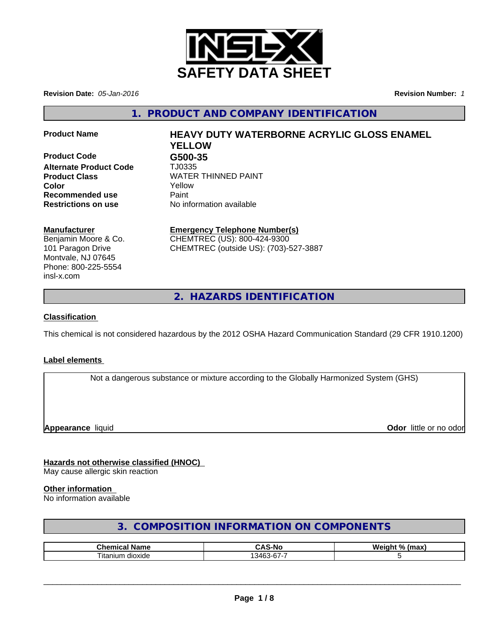

**Revision Date:** *05-Jan-2016* **Revision Number:** *1*

**1. PRODUCT AND COMPANY IDENTIFICATION**

**Product Code G500-35 Alternate Product Code** TJ0335 **Product Class** WATER THINNED PAINT **Color** Yellow **Recommended use Paint Restrictions on use** No information available

# **Product Name HEAVY DUTY WATERBORNE ACRYLIC GLOSS ENAMEL YELLOW**

# **Manufacturer**

Benjamin Moore & Co. 101 Paragon Drive Montvale, NJ 07645 Phone: 800-225-5554 insl-x.com

**Emergency Telephone Number(s)** CHEMTREC (US): 800-424-9300

CHEMTREC (outside US): (703)-527-3887

**2. HAZARDS IDENTIFICATION**

# **Classification**

This chemical is not considered hazardous by the 2012 OSHA Hazard Communication Standard (29 CFR 1910.1200)

# **Label elements**

Not a dangerous substance or mixture according to the Globally Harmonized System (GHS)

**Appearance** liquid **Contract Contract Contract Contract Contract Contract Contract Contract Contract Contract Contract Contract Contract Contract Contract Contract Contract Contract Contract Contract Contract Contract Con** 

# **Hazards not otherwise classified (HNOC)**

May cause allergic skin reaction

# **Other information**

No information available

# **3. COMPOSITION INFORMATION ON COMPONENTS**

| ™hom.<br>Nam⊾            | -Nc<br>                             | <b>W</b><br>$^{\circ}$<br>. .<br>----<br>ш |
|--------------------------|-------------------------------------|--------------------------------------------|
| --<br>dioxide<br>⊣tanıun | $\sim$<br>$\sim$<br>34 <sup>F</sup> |                                            |

 $\overline{\phantom{a}}$  ,  $\overline{\phantom{a}}$  ,  $\overline{\phantom{a}}$  ,  $\overline{\phantom{a}}$  ,  $\overline{\phantom{a}}$  ,  $\overline{\phantom{a}}$  ,  $\overline{\phantom{a}}$  ,  $\overline{\phantom{a}}$  ,  $\overline{\phantom{a}}$  ,  $\overline{\phantom{a}}$  ,  $\overline{\phantom{a}}$  ,  $\overline{\phantom{a}}$  ,  $\overline{\phantom{a}}$  ,  $\overline{\phantom{a}}$  ,  $\overline{\phantom{a}}$  ,  $\overline{\phantom{a}}$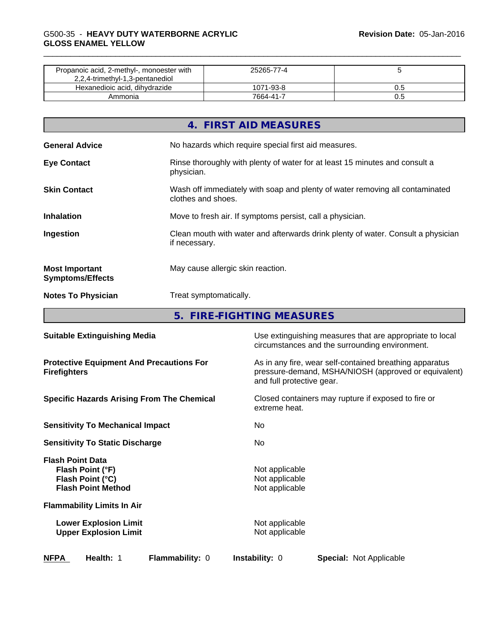| Propanoic acid, 2-methyl-, monoester with<br>2,2,4-trimethyl-1,3-pentanediol | 25265-77-4 |  |
|------------------------------------------------------------------------------|------------|--|
| Hexanedioic acid, dihydrazide                                                | 1071-93-8  |  |
| Ammonia                                                                      | 7664-41-7  |  |

|                                                  | 4. FIRST AID MEASURES                                                                              |
|--------------------------------------------------|----------------------------------------------------------------------------------------------------|
| <b>General Advice</b>                            | No hazards which require special first aid measures.                                               |
| <b>Eye Contact</b>                               | Rinse thoroughly with plenty of water for at least 15 minutes and consult a<br>physician.          |
| <b>Skin Contact</b>                              | Wash off immediately with soap and plenty of water removing all contaminated<br>clothes and shoes. |
| <b>Inhalation</b>                                | Move to fresh air. If symptoms persist, call a physician.                                          |
| Ingestion                                        | Clean mouth with water and afterwards drink plenty of water. Consult a physician<br>if necessary.  |
| <b>Most Important</b><br><b>Symptoms/Effects</b> | May cause allergic skin reaction.                                                                  |
| <b>Notes To Physician</b>                        | Treat symptomatically.                                                                             |

**5. FIRE-FIGHTING MEASURES**

| <b>Suitable Extinguishing Media</b>                                                          | Use extinguishing measures that are appropriate to local<br>circumstances and the surrounding environment.                                   |  |  |
|----------------------------------------------------------------------------------------------|----------------------------------------------------------------------------------------------------------------------------------------------|--|--|
| <b>Protective Equipment And Precautions For</b><br><b>Firefighters</b>                       | As in any fire, wear self-contained breathing apparatus<br>pressure-demand, MSHA/NIOSH (approved or equivalent)<br>and full protective gear. |  |  |
| <b>Specific Hazards Arising From The Chemical</b>                                            | Closed containers may rupture if exposed to fire or<br>extreme heat.                                                                         |  |  |
| <b>Sensitivity To Mechanical Impact</b>                                                      | No.                                                                                                                                          |  |  |
| <b>Sensitivity To Static Discharge</b>                                                       | No.                                                                                                                                          |  |  |
| <b>Flash Point Data</b><br>Flash Point (°F)<br>Flash Point (°C)<br><b>Flash Point Method</b> | Not applicable<br>Not applicable<br>Not applicable                                                                                           |  |  |
| <b>Flammability Limits In Air</b>                                                            |                                                                                                                                              |  |  |
| <b>Lower Explosion Limit</b><br><b>Upper Explosion Limit</b>                                 | Not applicable<br>Not applicable                                                                                                             |  |  |
| <b>NFPA</b><br>Health: 1<br><b>Flammability: 0</b>                                           | <b>Instability: 0</b><br><b>Special: Not Applicable</b>                                                                                      |  |  |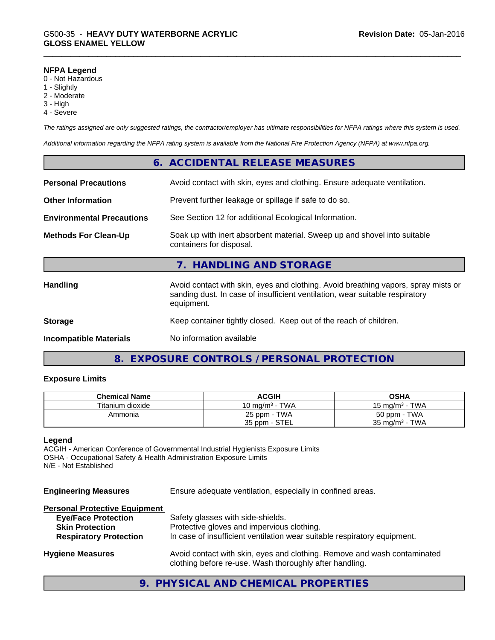#### **NFPA Legend**

- 0 Not Hazardous
- 1 Slightly
- 2 Moderate
- 3 High
- 4 Severe

*The ratings assigned are only suggested ratings, the contractor/employer has ultimate responsibilities for NFPA ratings where this system is used.*

*Additional information regarding the NFPA rating system is available from the National Fire Protection Agency (NFPA) at www.nfpa.org.*

|                                  | 6. ACCIDENTAL RELEASE MEASURES                                                                                                                                                   |
|----------------------------------|----------------------------------------------------------------------------------------------------------------------------------------------------------------------------------|
| <b>Personal Precautions</b>      | Avoid contact with skin, eyes and clothing. Ensure adequate ventilation.                                                                                                         |
| <b>Other Information</b>         | Prevent further leakage or spillage if safe to do so.                                                                                                                            |
| <b>Environmental Precautions</b> | See Section 12 for additional Ecological Information.                                                                                                                            |
| <b>Methods For Clean-Up</b>      | Soak up with inert absorbent material. Sweep up and shovel into suitable<br>containers for disposal.                                                                             |
|                                  | 7. HANDLING AND STORAGE                                                                                                                                                          |
| <b>Handling</b>                  | Avoid contact with skin, eyes and clothing. Avoid breathing vapors, spray mists or<br>sanding dust. In case of insufficient ventilation, wear suitable respiratory<br>equipment. |
| <b>Storage</b>                   | Keep container tightly closed. Keep out of the reach of children.                                                                                                                |
| <b>Incompatible Materials</b>    | No information available                                                                                                                                                         |
|                                  |                                                                                                                                                                                  |

# **8. EXPOSURE CONTROLS / PERSONAL PROTECTION**

#### **Exposure Limits**

| <b>Chemical Name</b> | <b>ACGIH</b>      | OSHA                              |
|----------------------|-------------------|-----------------------------------|
| Titanium dioxide     | 10 mg/m $3$ - TWA | - TWA<br>15 mg/m <sup>3</sup> - 1 |
| Ammonia              | 25 ppm - TWA      | 50 ppm - TWA                      |
|                      | 35 ppm - STEL     | 35 mg/m $3$ - TWA                 |

#### **Legend**

ACGIH - American Conference of Governmental Industrial Hygienists Exposure Limits OSHA - Occupational Safety & Health Administration Exposure Limits N/E - Not Established

| <b>Engineering Measures</b>                                                                                                   | Ensure adequate ventilation, especially in confined areas.                                                                                                  |  |  |
|-------------------------------------------------------------------------------------------------------------------------------|-------------------------------------------------------------------------------------------------------------------------------------------------------------|--|--|
| <b>Personal Protective Equipment</b><br><b>Eye/Face Protection</b><br><b>Skin Protection</b><br><b>Respiratory Protection</b> | Safety glasses with side-shields.<br>Protective gloves and impervious clothing.<br>In case of insufficient ventilation wear suitable respiratory equipment. |  |  |
| <b>Hygiene Measures</b>                                                                                                       | Avoid contact with skin, eyes and clothing. Remove and wash contaminated<br>clothing before re-use. Wash thoroughly after handling.                         |  |  |

**9. PHYSICAL AND CHEMICAL PROPERTIES**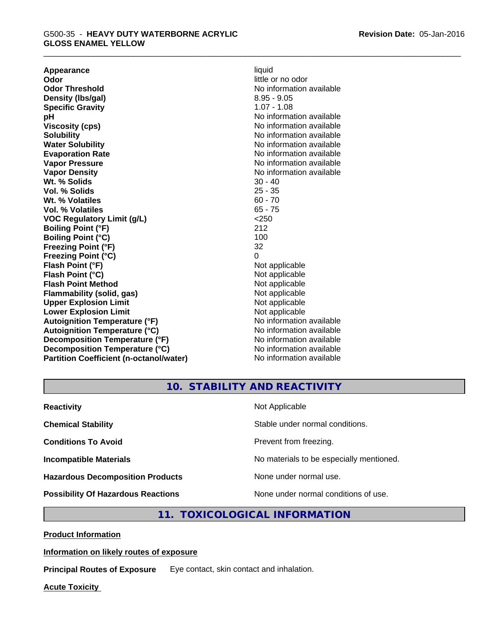**Appearance** liquid **and a limitation of the contract of the contract of the contract of the contract of the contract of the contract of the contract of the contract of the contract of the contract of the contract of the c Odor Threshold No information available No information available Density (Ibs/gal)** 8.95 - 9.05 **Specific Gravity** 1.07 - 1.08 **pH pH**  $\blacksquare$ **Viscosity (cps)** No information available **Solubility Note 2008 Note 2008 Note 2008 Note 2008 Note 2008 Note 2008 Note 2008 Note 2008 Note 2008 Note 2008 Note 2008 Note 2008 Note 2008 Note 2008 Note 2008 Note 2008 Note 2008 Note Water Solubility** No information available **Evaporation Rate No information available No information available Vapor Pressure** No information available **Vapor Density No information available** No information available **Wt. % Solids** 30 - 40<br> **Vol. % Solids** 25 - 35 **Vol. % Solids Wt. % Volatiles** 60 - 70 **Vol. % Volatiles** 65 - 75 **VOC Regulatory Limit (g/L)** <250 **Boiling Point (°F)** 212 **Boiling Point**  $(^{\circ}C)$  100 **Freezing Point (°F)** 32 **Freezing Point (°C)** 0 **Flash Point (°F)** Not applicable **Flash Point (°C)**<br> **Flash Point Method** Not applicable Not applicable **Flash Point Method Flammability (solid, gas)** Not applicable **Upper Explosion Limit** Not applicable **Lower Explosion Limit Contract Accord Accord Accord Accord Accord Accord Accord Accord Accord Accord Accord Accord Accord Accord Accord Accord Accord Accord Accord Accord Accord Accord Accord Accord Accord Accord Accord Autoignition Temperature (°F)** No information available **Autoignition Temperature (°C)** No information available **Decomposition Temperature (°F)** No information available **Decomposition Temperature (°C)** No information available **Partition Coefficient (n-octanol/water)** No information available

**Odor** little or no odor

# **10. STABILITY AND REACTIVITY**

| <b>Reactivity</b>                         | Not Applicable                           |
|-------------------------------------------|------------------------------------------|
| <b>Chemical Stability</b>                 | Stable under normal conditions.          |
| <b>Conditions To Avoid</b>                | Prevent from freezing.                   |
| <b>Incompatible Materials</b>             | No materials to be especially mentioned. |
| <b>Hazardous Decomposition Products</b>   | None under normal use.                   |
| <b>Possibility Of Hazardous Reactions</b> | None under normal conditions of use.     |

# **11. TOXICOLOGICAL INFORMATION**

**Product Information**

**Information on likely routes of exposure**

**Principal Routes of Exposure** Eye contact, skin contact and inhalation.

**Acute Toxicity**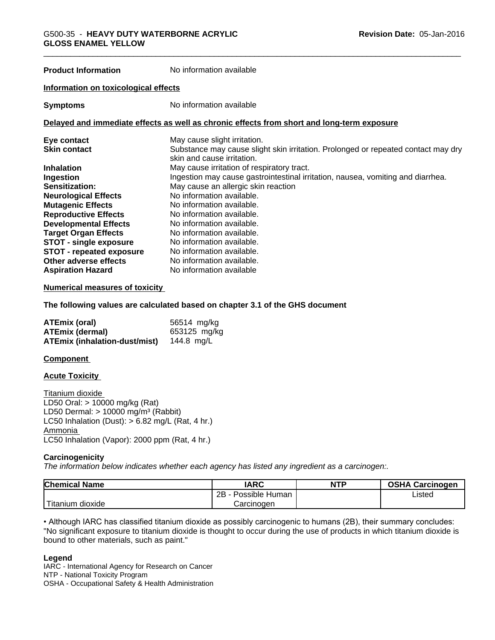**Product Information** No information available

#### **Information on toxicological effects**

**Symptoms** No information available

#### **Delayed and immediate effects as well as chronic effects from short and long-term exposure**

| Eye contact                     | May cause slight irritation.                                                                                    |
|---------------------------------|-----------------------------------------------------------------------------------------------------------------|
| <b>Skin contact</b>             | Substance may cause slight skin irritation. Prolonged or repeated contact may dry<br>skin and cause irritation. |
| <b>Inhalation</b>               | May cause irritation of respiratory tract.                                                                      |
| Ingestion                       | Ingestion may cause gastrointestinal irritation, nausea, vomiting and diarrhea.                                 |
| Sensitization:                  | May cause an allergic skin reaction                                                                             |
| <b>Neurological Effects</b>     | No information available.                                                                                       |
| <b>Mutagenic Effects</b>        | No information available.                                                                                       |
| <b>Reproductive Effects</b>     | No information available.                                                                                       |
| <b>Developmental Effects</b>    | No information available.                                                                                       |
| <b>Target Organ Effects</b>     | No information available.                                                                                       |
| <b>STOT - single exposure</b>   | No information available.                                                                                       |
| <b>STOT - repeated exposure</b> | No information available.                                                                                       |
| Other adverse effects           | No information available.                                                                                       |
| <b>Aspiration Hazard</b>        | No information available                                                                                        |

#### **Numerical measures of toxicity**

**The following values are calculated based on chapter 3.1 of the GHS document**

| ATEmix (oral)                        | 56514 mg/kg  |
|--------------------------------------|--------------|
| <b>ATEmix (dermal)</b>               | 653125 mg/kg |
| <b>ATEmix (inhalation-dust/mist)</b> | 144.8 mg/L   |

#### **Component**

**Acute Toxicity** 

Titanium dioxide LD50 Oral: > 10000 mg/kg (Rat) LD50 Dermal:  $> 10000$  mg/m<sup>3</sup> (Rabbit) LC50 Inhalation (Dust):  $> 6.82$  mg/L (Rat, 4 hr.) Ammonia LC50 Inhalation (Vapor): 2000 ppm (Rat, 4 hr.)

#### **Carcinogenicity**

*The information below indicateswhether each agency has listed any ingredient as a carcinogen:.*

| <b>Chemical Name</b>        | <b>IARC</b>          | <b>NTP</b> | <b>OSHA Carcinogen</b> |
|-----------------------------|----------------------|------------|------------------------|
|                             | 2B<br>Possible Human |            | Listed                 |
| $-1$<br>dioxide<br>Titanium | Carcinogen           |            |                        |

• Although IARC has classified titanium dioxide as possibly carcinogenic to humans (2B), their summary concludes: "No significant exposure to titanium dioxide is thought to occur during the use of products in which titanium dioxide is bound to other materials, such as paint."

#### **Legend**

IARC - International Agency for Research on Cancer NTP - National Toxicity Program OSHA - Occupational Safety & Health Administration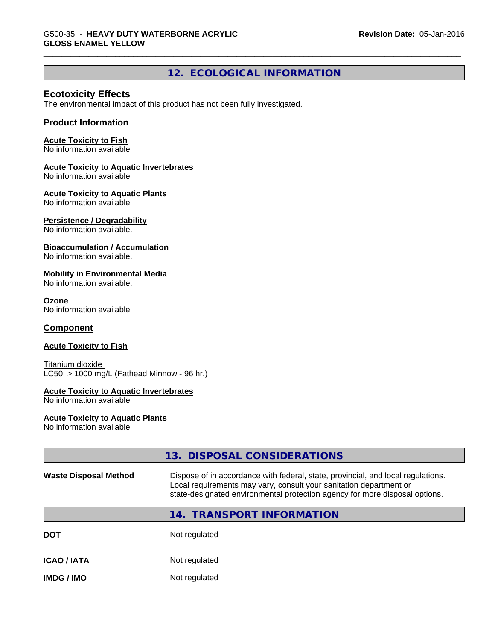# **12. ECOLOGICAL INFORMATION**

# **Ecotoxicity Effects**

The environmental impact of this product has not been fully investigated.

### **Product Information**

#### **Acute Toxicity to Fish**

No information available

#### **Acute Toxicity to Aquatic Invertebrates**

No information available

#### **Acute Toxicity to Aquatic Plants**

No information available

#### **Persistence / Degradability**

No information available.

#### **Bioaccumulation / Accumulation**

No information available.

#### **Mobility in Environmental Media**

No information available.

#### **Ozone**

No information available

#### **Component**

#### **Acute Toxicity to Fish**

Titanium dioxide  $LC50:$  > 1000 mg/L (Fathead Minnow - 96 hr.)

#### **Acute Toxicity to Aquatic Invertebrates**

No information available

#### **Acute Toxicity to Aquatic Plants**

No information available

|                              | 13. DISPOSAL CONSIDERATIONS                                                                                                                                                                                                           |
|------------------------------|---------------------------------------------------------------------------------------------------------------------------------------------------------------------------------------------------------------------------------------|
| <b>Waste Disposal Method</b> | Dispose of in accordance with federal, state, provincial, and local regulations.<br>Local requirements may vary, consult your sanitation department or<br>state-designated environmental protection agency for more disposal options. |
|                              | 14. TRANSPORT INFORMATION                                                                                                                                                                                                             |
| <b>DOT</b>                   | Not regulated                                                                                                                                                                                                                         |
| <b>ICAO/IATA</b>             | Not regulated                                                                                                                                                                                                                         |
| <b>IMDG/IMO</b>              | Not regulated                                                                                                                                                                                                                         |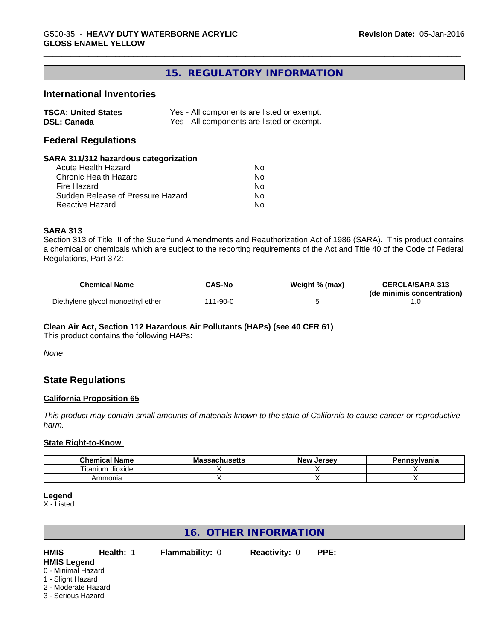# **15. REGULATORY INFORMATION**

### **International Inventories**

| <b>TSCA: United States</b> | Yes - All components are listed or exempt. |
|----------------------------|--------------------------------------------|
| <b>DSL: Canada</b>         | Yes - All components are listed or exempt. |

### **Federal Regulations**

#### **SARA 311/312 hazardous categorization**

| Acute Health Hazard               | Nο |
|-----------------------------------|----|
| Chronic Health Hazard             | Nο |
| Fire Hazard                       | N٥ |
| Sudden Release of Pressure Hazard | Nο |
| Reactive Hazard                   | N٥ |

#### **SARA 313**

Section 313 of Title III of the Superfund Amendments and Reauthorization Act of 1986 (SARA). This product contains a chemical or chemicals which are subject to the reporting requirements of the Act and Title 40 of the Code of Federal Regulations, Part 372:

| <b>Chemical Name</b>              | CAS-No   | Weight % (max) | <b>CERCLA/SARA 313</b><br>(de minimis concentration) |
|-----------------------------------|----------|----------------|------------------------------------------------------|
| Diethylene glycol monoethyl ether | 111-90-0 |                |                                                      |

#### **Clean Air Act,Section 112 Hazardous Air Pollutants (HAPs) (see 40 CFR 61)**

This product contains the following HAPs:

*None*

# **State Regulations**

#### **California Proposition 65**

This product may contain small amounts of materials known to the state of California to cause cancer or reproductive *harm.*

#### **State Right-to-Know**

| Chemical<br>' Name                   | IVIO<br>naunustus | . Jerse∨<br>– Ne⊻ | าทรงIvania |
|--------------------------------------|-------------------|-------------------|------------|
| $- \cdot$ .<br>dioxide<br>l itanium. |                   |                   |            |
| Ammonia                              |                   |                   |            |

#### **Legend**

X - Listed

# **16. OTHER INFORMATION**

**HMIS** - **Health:** 1 **Flammability:** 0 **Reactivity:** 0 **PPE:** - **HMIS Legend**

# 0 - Minimal Hazard

- 1 Slight Hazard
- 
- 2 Moderate Hazard
- 3 Serious Hazard